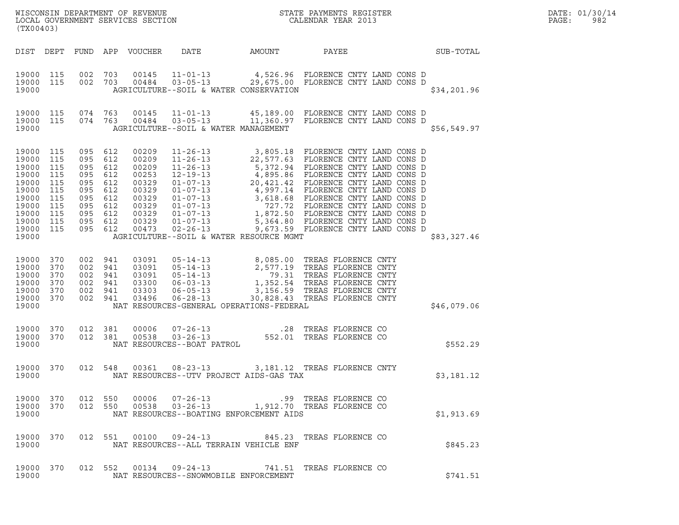| (TX00403)                                                                                                    |                                                                    |                                                                                                                       |         |                                                                                                 |                                                            |                                                                                                                                                                                                                                                          |                  | DATE: 01/30/14<br>PAGE:<br>982 |
|--------------------------------------------------------------------------------------------------------------|--------------------------------------------------------------------|-----------------------------------------------------------------------------------------------------------------------|---------|-------------------------------------------------------------------------------------------------|------------------------------------------------------------|----------------------------------------------------------------------------------------------------------------------------------------------------------------------------------------------------------------------------------------------------------|------------------|--------------------------------|
|                                                                                                              |                                                                    |                                                                                                                       |         | DIST DEPT FUND APP VOUCHER                                                                      | DATE AMOUNT                                                | PAYEE                                                                                                                                                                                                                                                    | <b>SUB-TOTAL</b> |                                |
| 19000 115<br>19000 115<br>19000                                                                              |                                                                    | 002 703                                                                                                               |         |                                                                                                 | AGRICULTURE--SOIL & WATER CONSERVATION                     | 002 703 00145 11-01-13 4,526.96 FLORENCE CNTY LAND CONS D<br>002 703 00484 03-05-13 29,675.00 FLORENCE CNTY LAND CONS D                                                                                                                                  | \$34,201.96      |                                |
| 19000 115<br>19000 115<br>19000                                                                              |                                                                    | 074 763                                                                                                               | 074 763 | 00145<br>00484                                                                                  | AGRICULTURE--SOIL & WATER MANAGEMENT                       | 11-01-13   45,189.00 FLORENCE CNTY LAND CONS D<br>03-05-13   11,360.97 FLORENCE CNTY LAND CONS D                                                                                                                                                         | \$56,549.97      |                                |
| 19000 115<br>19000<br>19000<br>19000<br>19000<br>19000<br>19000<br>19000<br>19000<br>19000<br>19000<br>19000 | 115<br>115<br>115<br>115<br>115<br>115<br>115<br>115<br>115<br>115 | 095 612<br>095 612<br>095 612<br>095 612<br>095 612<br>095 612<br>095 612<br>095 612<br>095 612<br>095 612<br>095 612 |         | 00209<br>00209<br>00209<br>00253<br>00329<br>00329<br>00329<br>00329<br>00329<br>00329<br>00473 | AGRICULTURE--SOIL & WATER RESOURCE MGMT                    | 11-26-13<br>11-26-13<br>22, 577.63<br>11-26-13<br>5, 372.94<br>FLORENCE CNTY LAND CONS D<br>12-19-13<br>4, 895.86<br>FLORENCE CNTY LAND CONS D<br>01-07-13<br>4, 997.14<br>FLORENCE CNTY LAND CONS D<br>01-07-13<br>3, 618.68<br>FLORENCE CNTY LAND CONS | \$83,327.46      |                                |
| 19000 370<br>19000<br>19000<br>19000<br>19000<br>19000<br>19000                                              | 370<br>370<br>370<br>370<br>370                                    | 002 941<br>002 941<br>002 941<br>002 941<br>002 941<br>002 941                                                        |         | 03091<br>03091<br>03091<br>03300<br>03303<br>03496                                              | $06 - 28 - 13$<br>NAT RESOURCES-GENERAL OPERATIONS-FEDERAL | 05-14-13 8,085.00 TREAS FLORENCE CNTY<br>05-14-13 2,577.19 TREAS FLORENCE CNTY<br>05-14-13 79.31 TREAS FLORENCE CNTY<br>06-03-13 1,352.54 TREAS FLORENCE CNTY<br>06-05-13 3,156.59 TREAS FLORENCE CNTY<br>30,828.43 TREAS FLORENCE CNTY                  | \$46,079.06      |                                |
| 19000 370<br>19000 370<br>19000                                                                              |                                                                    | 012 381                                                                                                               | 012 381 | 00006<br>00538                                                                                  | NAT RESOURCES--BOAT PATROL                                 |                                                                                                                                                                                                                                                          | \$552.29         |                                |
| 19000 370<br>19000                                                                                           |                                                                    |                                                                                                                       |         |                                                                                                 | NAT RESOURCES--UTV PROJECT AIDS-GAS TAX                    | 012 548  00361  08-23-13  3,181.12  TREAS FLORENCE CNTY                                                                                                                                                                                                  | \$3,181.12       |                                |
| 19000                                                                                                        |                                                                    |                                                                                                                       |         |                                                                                                 | NAT RESOURCES--BOATING ENFORCEMENT AIDS                    |                                                                                                                                                                                                                                                          | \$1,913.69       |                                |
| 19000 370<br>19000                                                                                           |                                                                    |                                                                                                                       |         |                                                                                                 | NAT RESOURCES--ALL TERRAIN VEHICLE ENF                     | 012 551 00100 09-24-13 845.23 TREAS FLORENCE CO                                                                                                                                                                                                          | \$845.23         |                                |
| 19000                                                                                                        |                                                                    |                                                                                                                       |         |                                                                                                 | NAT RESOURCES--SNOWMOBILE ENFORCEMENT                      | 19000 370 012 552 00134 09-24-13 741.51 TREAS FLORENCE CO                                                                                                                                                                                                | \$741.51         |                                |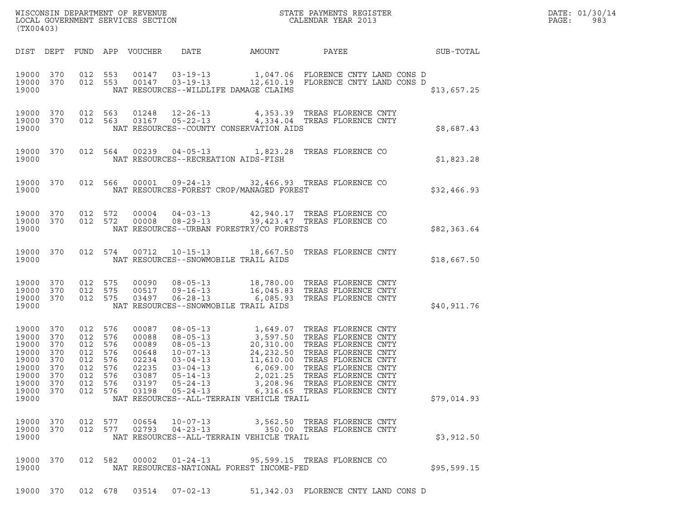| WISCONSIN DEPARTMENT OF REVENUE   | STATE PAYMENTS REGISTER | DATE: 01/30/14 |
|-----------------------------------|-------------------------|----------------|
| LOCAL GOVERNMENT SERVICES SECTION | CALENDAR YEAR 2013      | -983<br>PAGE : |

| WISCONSIN DEPARTMENT OF REVENUE<br>LOCAL GOVERNMENT SERVICES SECTION THE STATE PAYMENTS REGISTER<br>(TYA04403)<br>(TX00403)                                                                                                                                                                                                                                                                                                                                                                                                                                                                                                                                                                                                 | DATE: 01/30/14<br>PAGE: 983 |
|-----------------------------------------------------------------------------------------------------------------------------------------------------------------------------------------------------------------------------------------------------------------------------------------------------------------------------------------------------------------------------------------------------------------------------------------------------------------------------------------------------------------------------------------------------------------------------------------------------------------------------------------------------------------------------------------------------------------------------|-----------------------------|
| DIST DEPT FUND APP VOUCHER DATE AMOUNT PAYEE PATE SUB-TOTAL                                                                                                                                                                                                                                                                                                                                                                                                                                                                                                                                                                                                                                                                 |                             |
| $19000 \quad 370 \qquad 012 \quad 553 \qquad 00147 \qquad 03-19-13 \qquad \qquad 1,047.06 \quad \text{FLORENCE CNTY LAND CONS D}$<br>19000 370 012 553 00147 03-19-13 12,610.19 FLORENCE CNTY LAND CONS D<br>NAT RESOURCES--WILDLIFE DAMAGE CLAIMS<br>19000                                                                                                                                                                                                                                                                                                                                                                                                                                                                 | \$13,657.25                 |
| $\begin{array}{cccccc} 19000 & 370 & 012 & 563 & 01248 & 12-26-13 & & 4,353.39 & \text{TREAS FLORENCE CNTY} \\ 19000 & 370 & 012 & 563 & 03167 & 05-22-13 & & 4,334.04 & \text{TREAS FLORENCE CNTY} \end{array}$<br>19000<br>NAT RESOURCES--COUNTY CONSERVATION AIDS                                                                                                                                                                                                                                                                                                                                                                                                                                                        | \$8,687.43                  |
| 19000 370 012 564 00239 04-05-13 1,823.28 TREAS FLORENCE CO<br>19000 NAT RESOURCES--RECREATION AIDS-FISH                                                                                                                                                                                                                                                                                                                                                                                                                                                                                                                                                                                                                    | \$1,823.28                  |
| 19000 370 012 566 00001 09-24-13 32,466.93 TREAS FLORENCE CO<br>19000 NAT RESOURCES-FOREST CROP/MANAGED FOREST                                                                                                                                                                                                                                                                                                                                                                                                                                                                                                                                                                                                              | \$32,466.93                 |
| $\begin{array}{cccccc} 19000 & 370 & 012 & 572 & 00004 & 04-03-13 & & 42,940.17 & \text{TREAS FLORENCE CO} \\ 19000 & 370 & 012 & 572 & 00008 & 08-29-13 & & 39,423.47 & \text{TREAS FLORENCE CO} \end{array}$<br>19000 NAT RESOURCES--URBAN FORESTRY/CO FORESTS                                                                                                                                                                                                                                                                                                                                                                                                                                                            | \$82,363.64                 |
| 19000 370 012 574 00712 10-15-13 18,667.50 TREAS FLORENCE CNTY<br>19000 NAT RESOURCES--SNOWMOBILE TRAIL AIDS                                                                                                                                                                                                                                                                                                                                                                                                                                                                                                                                                                                                                | \$18,667.50                 |
| 19000 370 012 575 00090 08-05-13 18,780.00 TREAS FLORENCE CNTY<br>19000 370 012 575 00517 09-16-13 16,045.83 TREAS FLORENCE CNTY<br>19000 370 012 575 03497 06-28-13 6,085.93 TREAS FLORENCE CNTY<br>19000<br>NAT RESOURCES--SNOWMOBILE TRAIL AIDS                                                                                                                                                                                                                                                                                                                                                                                                                                                                          | \$40,911.76                 |
| 08-05-13<br>08-05-13<br>08-05-13<br>08-05-13<br>20,310.00 TREAS FLORENCE CNTY<br>10-07-13<br>24,232.50 TREAS FLORENCE CNTY<br>03-04-13<br>11,610.00 TREAS FLORENCE CNTY<br>05-14-13<br>2,021.25 TREAS FLORENCE CNTY<br>05-14-13<br>2,021.25 TREAS FLOR<br>012 576<br>19000 370<br>00087<br>19000 370<br>012<br>576<br>00088<br>19000 370<br>012 576<br>00089<br>19000 370<br>012<br>576<br>00648<br>19000 370<br>012 576<br>02234<br>012<br>576<br>02235<br>19000 370<br>012 576<br>19000 370<br>03087<br>19000 370<br>012 576<br>03197<br>05-24-13<br>3,208.96 TREAS FLORENCE CNTY<br>19000 370<br>012 576<br>03198<br>$05 - 24 - 13$<br>6,316.65 TREAS FLORENCE CNTY<br>19000<br>NAT RESOURCES--ALL-TERRAIN VEHICLE TRAIL | \$79,014.93                 |
| 012 577<br>00654 10-07-13<br>3,562.50 TREAS FLORENCE CNTY<br>19000 370<br>012 577<br>19000 370<br>02793<br>04-23-13<br>350.00 TREAS FLORENCE CNTY<br>19000<br>NAT RESOURCES--ALL-TERRAIN VEHICLE TRAIL                                                                                                                                                                                                                                                                                                                                                                                                                                                                                                                      | \$3,912.50                  |
| 19000 370<br>012 582 00002<br>$01 - 24 - 13$<br>95,599.15 TREAS FLORENCE CO<br>NAT RESOURCES-NATIONAL FOREST INCOME-FED<br>19000                                                                                                                                                                                                                                                                                                                                                                                                                                                                                                                                                                                            | \$95,599.15                 |
| 19000 370 012 678 03514 07-02-13<br>51,342.03 FLORENCE CNTY LAND CONS D                                                                                                                                                                                                                                                                                                                                                                                                                                                                                                                                                                                                                                                     |                             |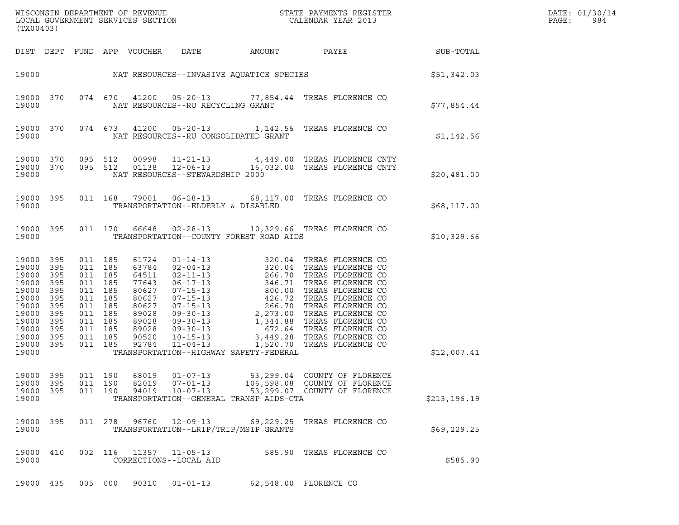| (TX00403)                                                                     |                                                                                                          |                                                                                                                                  |                         |                                                    |                                         |                                                                                                             |               |  |
|-------------------------------------------------------------------------------|----------------------------------------------------------------------------------------------------------|----------------------------------------------------------------------------------------------------------------------------------|-------------------------|----------------------------------------------------|-----------------------------------------|-------------------------------------------------------------------------------------------------------------|---------------|--|
|                                                                               |                                                                                                          |                                                                                                                                  |                         |                                                    |                                         |                                                                                                             |               |  |
|                                                                               |                                                                                                          |                                                                                                                                  |                         |                                                    |                                         | 19000 NAT RESOURCES--INVASIVE AQUATICE SPECIES SPECIES (\$51,342.03                                         |               |  |
| 19000                                                                         |                                                                                                          |                                                                                                                                  |                         | NAT RESOURCES--RU RECYCLING GRANT                  |                                         | 19000 370 074 670 41200 05-20-13 77,854.44 TREAS FLORENCE CO                                                | \$77,854.44   |  |
| 19000                                                                         | 19000 370                                                                                                |                                                                                                                                  |                         |                                                    | NAT RESOURCES--RU CONSOLIDATED GRANT    | 074 673 41200 05-20-13 1,142.56 TREAS FLORENCE CO                                                           | \$1,142.56    |  |
| 19000                                                                         | 19000 370<br>19000 370                                                                                   |                                                                                                                                  |                         | NAT RESOURCES--STEWARDSHIP 2000                    |                                         | 095 512 00998 11-21-13 4,449.00 TREAS FLORENCE CNTY<br>095 512 01138 12-06-13 16,032.00 TREAS FLORENCE CNTY | \$20,481.00   |  |
| 19000                                                                         |                                                                                                          |                                                                                                                                  |                         | TRANSPORTATION--ELDERLY & DISABLED                 |                                         | 19000 395 011 168 79001 06-28-13 68,117.00 TREAS FLORENCE CO                                                | \$68,117.00   |  |
| 19000                                                                         |                                                                                                          |                                                                                                                                  |                         |                                                    |                                         | 19000 395 011 170 66648 02-28-13 10,329.66 TREAS FLORENCE CO<br>TRANSPORTATION--COUNTY FOREST ROAD AIDS     | \$10,329.66   |  |
| 19000<br>19000<br>19000<br>19000<br>19000<br>19000<br>19000<br>19000<br>19000 | 19000 395<br>395<br>395<br>395<br>395<br>395<br>395<br>395<br>19000 395<br>395<br>19000 395<br>19000 395 | 011 185<br>011 185<br>011 185<br>011 185<br>011 185<br>011 185<br>011 185<br>011 185<br>011 185<br>011 185<br>011 185<br>011 185 |                         |                                                    | TRANSPORTATION--HIGHWAY SAFETY-FEDERAL  |                                                                                                             | \$12,007.41   |  |
| 19000<br>19000<br>19000<br>19000                                              | 395<br>395<br>395                                                                                        | 011 190<br>011 190<br>011 190                                                                                                    | 68019<br>82019<br>94019 | $01 - 07 - 13$<br>$07 - 01 - 13$<br>$10 - 07 - 13$ | TRANSPORTATION--GENERAL TRANSP AIDS-GTA | 53, 299.04 COUNTY OF FLORENCE<br>106,598.08 COUNTY OF FLORENCE<br>53,299.07 COUNTY OF FLORENCE              | \$213, 196.19 |  |
| 19000                                                                         | 19000 395                                                                                                |                                                                                                                                  |                         | 011 278 96760 12-09-13                             | TRANSPORTATION--LRIP/TRIP/MSIP GRANTS   | 69,229.25 TREAS FLORENCE CO                                                                                 | \$69,229.25   |  |
| 19000                                                                         | 19000 410                                                                                                |                                                                                                                                  |                         | 002 116 11357 11-05-13<br>CORRECTIONS--LOCAL AID   |                                         | 585.90 TREAS FLORENCE CO                                                                                    | \$585.90      |  |
|                                                                               | 19000 435                                                                                                |                                                                                                                                  |                         | 005 000 90310 01-01-13                             |                                         | 62,548.00 FLORENCE CO                                                                                       |               |  |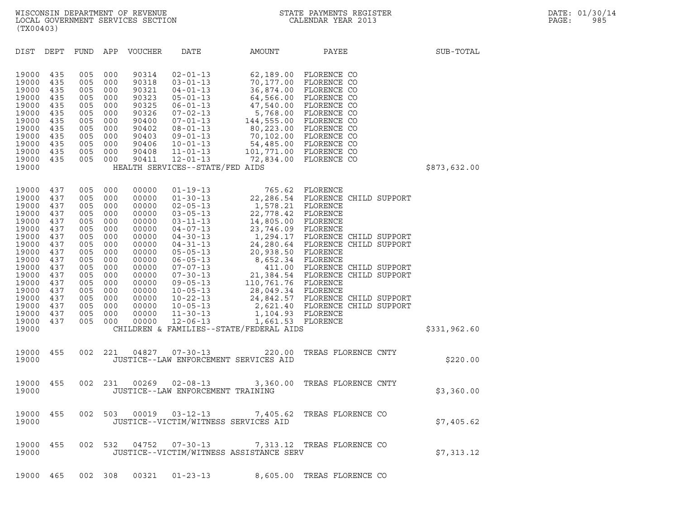| (TX00403)                                                                                                                                                                                                                                                                                             |                                                                                                                            |                                                                                                                                                                                                                                                                                              |                                                                                                                                                                                                                                                                                                                                  |                                                                                                                                                                                                                                                |                                                                                                                                                                                                                                                                                                  |              |
|-------------------------------------------------------------------------------------------------------------------------------------------------------------------------------------------------------------------------------------------------------------------------------------------------------|----------------------------------------------------------------------------------------------------------------------------|----------------------------------------------------------------------------------------------------------------------------------------------------------------------------------------------------------------------------------------------------------------------------------------------|----------------------------------------------------------------------------------------------------------------------------------------------------------------------------------------------------------------------------------------------------------------------------------------------------------------------------------|------------------------------------------------------------------------------------------------------------------------------------------------------------------------------------------------------------------------------------------------|--------------------------------------------------------------------------------------------------------------------------------------------------------------------------------------------------------------------------------------------------------------------------------------------------|--------------|
| DIST<br>DEPT                                                                                                                                                                                                                                                                                          | FUND                                                                                                                       | APP<br><b>VOUCHER</b>                                                                                                                                                                                                                                                                        | <b>DATE</b>                                                                                                                                                                                                                                                                                                                      | AMOUNT                                                                                                                                                                                                                                         | PAYEE                                                                                                                                                                                                                                                                                            | SUB-TOTAL    |
| 19000<br>435<br>19000<br>435<br>19000<br>435<br>19000<br>435<br>19000<br>435<br>19000<br>435<br>19000<br>435<br>19000<br>435<br>19000<br>435<br>19000<br>435<br>19000<br>435<br>19000<br>435<br>19000                                                                                                 | 005<br>005<br>005<br>005<br>005<br>005<br>005<br>005<br>005<br>005<br>005<br>005                                           | 000<br>90314<br>000<br>90318<br>000<br>90321<br>000<br>90323<br>000<br>90325<br>000<br>90326<br>000<br>90400<br>000<br>90402<br>000<br>90403<br>000<br>90406<br>000<br>90408<br>000<br>90411                                                                                                 | $02 - 01 - 13$<br>$03 - 01 - 13$<br>$04 - 01 - 13$<br>$05 - 01 - 13$<br>$06 - 01 - 13$<br>$07 - 02 - 13$<br>$07 - 01 - 13$<br>$08 - 01 - 13$<br>$09 - 01 - 13$<br>$10 - 01 - 13$<br>$11 - 01 - 13$<br>$12 - 01 - 13$<br>HEALTH SERVICES--STATE/FED AIDS                                                                          | 62,189.00<br>70,177.00<br>36,874.00<br>64,566.00<br>47,540.00<br>5,768.00                                                                                                                                                                      | FLORENCE CO<br>FLORENCE CO<br>FLORENCE CO<br>FLORENCE CO<br>FLORENCE CO<br>FLORENCE CO<br>144,555.00 FLORENCE CO<br>80,223.00 FLORENCE CO<br>70,102.00 FLORENCE CO<br>54,485.00 FLORENCE CO<br>101,771.00 FLORENCE CO<br>72,834.00 FLORENCE CO                                                   | \$873,632.00 |
| 19000<br>437<br>19000<br>437<br>19000<br>437<br>19000<br>437<br>19000<br>437<br>19000<br>437<br>19000<br>437<br>19000<br>437<br>19000<br>437<br>19000<br>437<br>19000<br>437<br>19000<br>437<br>19000<br>437<br>19000<br>437<br>19000<br>437<br>19000<br>437<br>19000<br>437<br>19000<br>437<br>19000 | 005<br>005<br>005<br>005<br>005<br>005<br>005<br>005<br>005<br>005<br>005<br>005<br>005<br>005<br>005<br>005<br>005<br>005 | 000<br>00000<br>000<br>00000<br>000<br>00000<br>000<br>00000<br>000<br>00000<br>000<br>00000<br>000<br>00000<br>000<br>00000<br>000<br>00000<br>000<br>00000<br>000<br>00000<br>000<br>00000<br>000<br>00000<br>000<br>00000<br>000<br>00000<br>000<br>00000<br>000<br>00000<br>000<br>00000 | $01 - 19 - 13$<br>$01 - 30 - 13$<br>$02 - 05 - 13$<br>$03 - 05 - 13$<br>$03 - 11 - 13$<br>$04 - 07 - 13$<br>$04 - 30 - 13$<br>$04 - 31 - 13$<br>$05 - 05 - 13$<br>$06 - 05 - 13$<br>$07 - 07 - 13$<br>$07 - 30 - 13$<br>$09 - 05 - 13$<br>$10 - 05 - 13$<br>$10 - 22 - 13$<br>$10 - 05 - 13$<br>$11 - 30 - 13$<br>$12 - 06 - 13$ | 1,578.21 FLORENCE<br>22,778.42 FLORENCE<br>14,805.00<br>23,746.09 FLORENCE<br>20,938.50<br>8,652.34 FLORENCE<br>110,761.76 FLORENCE<br>28,049.34 FLORENCE<br>1,104.93 FLORENCE<br>1,661.53 FLORENCE<br>CHILDREN & FAMILIES--STATE/FEDERAL AIDS | 765.62 FLORENCE<br>22, 286.54 FLORENCE CHILD SUPPORT<br>FLORENCE<br>1,294.17 FLORENCE CHILD SUPPORT<br>24, 280.64 FLORENCE CHILD SUPPORT<br>FLORENCE<br>411.00 FLORENCE CHILD SUPPORT<br>21,384.54 FLORENCE CHILD SUPPORT<br>24,842.57 FLORENCE CHILD SUPPORT<br>2,621.40 FLORENCE CHILD SUPPORT | \$331,962.60 |
| 19000<br>455<br>19000                                                                                                                                                                                                                                                                                 | 002                                                                                                                        | 221<br>04827                                                                                                                                                                                                                                                                                 | $07 - 30 - 13$<br>JUSTICE--LAW ENFORCEMENT SERVICES AID                                                                                                                                                                                                                                                                          | 220.00                                                                                                                                                                                                                                         | TREAS FLORENCE CNTY                                                                                                                                                                                                                                                                              | \$220.00     |
| 19000<br>455<br>19000                                                                                                                                                                                                                                                                                 | 002                                                                                                                        | 00269<br>231                                                                                                                                                                                                                                                                                 | $02 - 08 - 13$<br>JUSTICE--LAW ENFORCEMENT TRAINING                                                                                                                                                                                                                                                                              | 3,360.00                                                                                                                                                                                                                                       | TREAS FLORENCE CNTY                                                                                                                                                                                                                                                                              | \$3,360.00   |
| 19000<br>455<br>19000                                                                                                                                                                                                                                                                                 |                                                                                                                            |                                                                                                                                                                                                                                                                                              | JUSTICE--VICTIM/WITNESS SERVICES AID                                                                                                                                                                                                                                                                                             |                                                                                                                                                                                                                                                | 002 503 00019 03-12-13 7,405.62 TREAS FLORENCE CO                                                                                                                                                                                                                                                | \$7,405.62   |
| 19000<br>455<br>19000                                                                                                                                                                                                                                                                                 | 002 532                                                                                                                    | 04752                                                                                                                                                                                                                                                                                        | $07 - 30 - 13$                                                                                                                                                                                                                                                                                                                   | JUSTICE--VICTIM/WITNESS ASSISTANCE SERV                                                                                                                                                                                                        | 7,313.12 TREAS FLORENCE CO                                                                                                                                                                                                                                                                       | \$7,313.12   |
| 465<br>19000                                                                                                                                                                                                                                                                                          | 002 308                                                                                                                    | 00321                                                                                                                                                                                                                                                                                        | $01 - 23 - 13$                                                                                                                                                                                                                                                                                                                   |                                                                                                                                                                                                                                                | 8,605.00 TREAS FLORENCE CO                                                                                                                                                                                                                                                                       |              |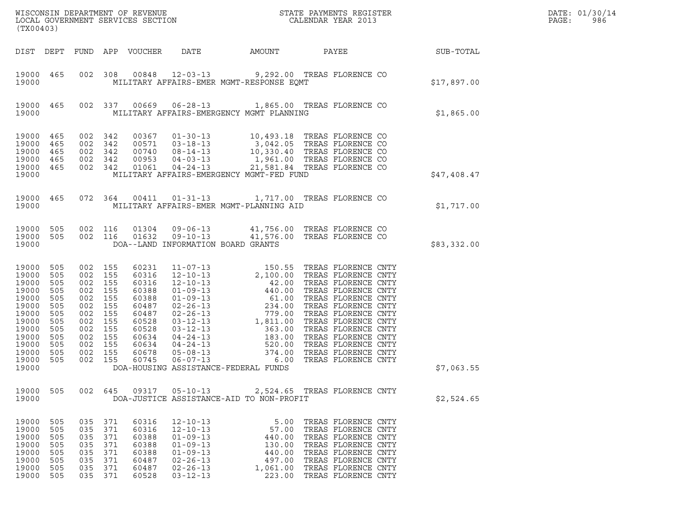| (TX00403)                                                                                                                  |                                                                                         |                                                                                                                                             |                    |                                                                                                                   |                                                                                                                      |                                                                                                                                                                                                                                                                                |                                                                                                                                                                 |  |                  | DATE: 01/30/14<br>PAGE:<br>986 |
|----------------------------------------------------------------------------------------------------------------------------|-----------------------------------------------------------------------------------------|---------------------------------------------------------------------------------------------------------------------------------------------|--------------------|-------------------------------------------------------------------------------------------------------------------|----------------------------------------------------------------------------------------------------------------------|--------------------------------------------------------------------------------------------------------------------------------------------------------------------------------------------------------------------------------------------------------------------------------|-----------------------------------------------------------------------------------------------------------------------------------------------------------------|--|------------------|--------------------------------|
|                                                                                                                            |                                                                                         |                                                                                                                                             |                    | DIST DEPT FUND APP VOUCHER                                                                                        |                                                                                                                      | DATE AMOUNT PAYEE                                                                                                                                                                                                                                                              |                                                                                                                                                                 |  | <b>SUB-TOTAL</b> |                                |
| 19000 465<br>19000                                                                                                         |                                                                                         |                                                                                                                                             |                    |                                                                                                                   |                                                                                                                      | 002 308 00848 12-03-13 9,292.00 TREAS FLORENCE CO<br>MILITARY AFFAIRS-EMER MGMT-RESPONSE EQMT                                                                                                                                                                                  |                                                                                                                                                                 |  | \$17,897.00      |                                |
| 19000 465<br>19000                                                                                                         |                                                                                         |                                                                                                                                             |                    |                                                                                                                   |                                                                                                                      | 002 337 00669 06-28-13 1,865.00 TREAS FLORENCE CO<br>MILITARY AFFAIRS-EMERGENCY MGMT PLANNING                                                                                                                                                                                  |                                                                                                                                                                 |  | \$1,865.00       |                                |
| 19000 465<br>19000<br>19000<br>19000<br>19000<br>19000                                                                     | 465<br>465<br>465<br>465                                                                | 002 342<br>002 342<br>002 342                                                                                                               | 002 342<br>002 342 |                                                                                                                   |                                                                                                                      | 00367 01-30-13 10,493.18 TREAS FLORENCE CO<br>00571 03-18-13 3,042.05 TREAS FLORENCE CO<br>00740 08-14-13 10,330.40 TREAS FLORENCE CO<br>00953 04-03-13 1961.00 TREAS FLORENCE CO<br>01061  04-24-13  21,581.84  TREAS FLORENCE CO<br>MILITARY AFFAIRS-EMERGENCY MGMT-FED FUND |                                                                                                                                                                 |  | \$47,408.47      |                                |
| 19000 465<br>19000                                                                                                         |                                                                                         |                                                                                                                                             |                    |                                                                                                                   |                                                                                                                      | 072 364 00411 01-31-13 1,717.00 TREAS FLORENCE CO<br>MILITARY AFFAIRS-EMER MGMT-PLANNING AID                                                                                                                                                                                   |                                                                                                                                                                 |  | \$1,717.00       |                                |
| 19000 505<br>19000<br>19000                                                                                                | 505                                                                                     |                                                                                                                                             |                    |                                                                                                                   |                                                                                                                      | 002 116 01304 09-06-13 41,756.00 TREAS FLORENCE CO<br>002 116 01632 09-10-13 41,576.00 TREAS FLORENCE CO<br>DOA--LAND INFORMATION BOARD GRANTS                                                                                                                                 |                                                                                                                                                                 |  | \$83,332.00      |                                |
| 19000<br>19000<br>19000<br>19000<br>19000<br>19000<br>19000<br>19000<br>19000<br>19000<br>19000<br>19000<br>19000<br>19000 | 505<br>505<br>505<br>505<br>505<br>505<br>505<br>505<br>505<br>505<br>505<br>505<br>505 | 002 155<br>002 155<br>002 155<br>002 155<br>002 155<br>002 155<br>002 155<br>002 155<br>002 155<br>002 155<br>002 155<br>002 155<br>002 155 |                    | 60231<br>60316<br>60316<br>60388<br>60388<br>60487<br>60487<br>60528<br>60528<br>60634<br>60634<br>60678<br>60745 |                                                                                                                      | DOA-HOUSING ASSISTANCE-FEDERAL FUNDS                                                                                                                                                                                                                                           |                                                                                                                                                                 |  | \$7,063.55       |                                |
| 19000 505<br>19000                                                                                                         |                                                                                         |                                                                                                                                             |                    |                                                                                                                   |                                                                                                                      | 002 645 09317 05-10-13 2,524.65 TREAS FLORENCE CNTY<br>DOA-JUSTICE ASSISTANCE-AID TO NON-PROFIT                                                                                                                                                                                |                                                                                                                                                                 |  | \$2,524.65       |                                |
| 19000<br>19000<br>19000<br>19000<br>19000<br>19000<br>19000<br>19000                                                       | 505<br>- 505<br>505<br>505<br>505<br>505<br>505<br>505                                  | 035 371<br>035 371<br>035 371<br>035 371<br>035 371<br>035 371<br>035 371                                                                   | 035 371            | 60316<br>60316<br>60388<br>60388<br>60388<br>60487<br>60487<br>60528                                              | $12 - 10 - 13$<br>12-10-13<br>$01 - 09 - 13$<br>$01 - 09 - 13$<br>$01 - 09 - 13$<br>$02 - 26 - 13$<br>$03 - 12 - 13$ | 440.00<br>440.00<br>497.00 TREAS FLORENCE CNTY<br>02-26-13 1,061.00 TREAS FLORENCE CNTY                                                                                                                                                                                        | 5.00 TREAS FLORENCE CNTY<br>57.00 TREAS FLORENCE CNTY<br>TREAS FLORENCE CNTY<br>130.00 TREAS FLORENCE CNTY<br>TREAS FLORENCE CNTY<br>223.00 TREAS FLORENCE CNTY |  |                  |                                |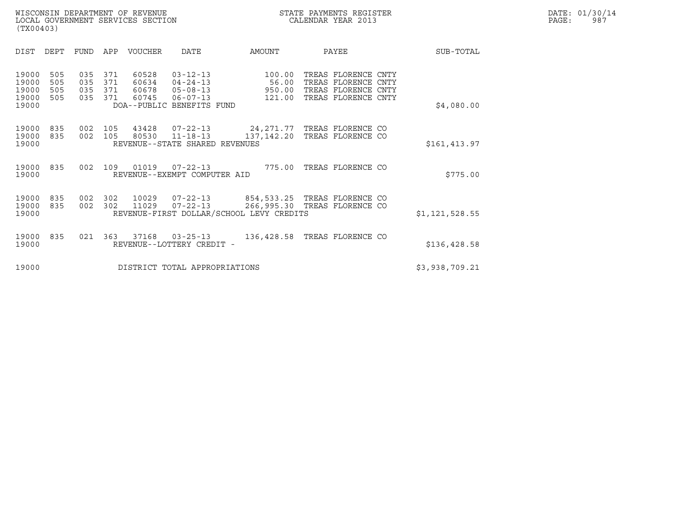|                                           | (TX00403)                |                          |                          |                                  |                                                                                             |                                                        |                                                                                          |  |                |  |  |  |  |
|-------------------------------------------|--------------------------|--------------------------|--------------------------|----------------------------------|---------------------------------------------------------------------------------------------|--------------------------------------------------------|------------------------------------------------------------------------------------------|--|----------------|--|--|--|--|
| DIST                                      | DEPT                     | FUND                     | APP                      | <b>VOUCHER</b>                   | DATE                                                                                        | AMOUNT                                                 | PAYEE                                                                                    |  | SUB-TOTAL      |  |  |  |  |
| 19000<br>19000<br>19000<br>19000<br>19000 | 505<br>505<br>505<br>505 | 035<br>035<br>035<br>035 | 371<br>371<br>371<br>371 | 60528<br>60634<br>60678<br>60745 | $03 - 12 - 13$<br>$04 - 24 - 13$<br>$05 - 08 - 13$<br>06-07-13<br>DOA--PUBLIC BENEFITS FUND | 100.00<br>56.00<br>950.00<br>121.00                    | TREAS FLORENCE CNTY<br>TREAS FLORENCE CNTY<br>TREAS FLORENCE CNTY<br>TREAS FLORENCE CNTY |  | \$4,080.00     |  |  |  |  |
| 19000<br>19000<br>19000                   | 835<br>835               | 002<br>002               | 105<br>105               | 43428<br>80530                   | $07 - 22 - 13$<br>$11 - 18 - 13$<br>REVENUE--STATE SHARED REVENUES                          | 24,271.77<br>137,142.20                                | TREAS FLORENCE CO<br>TREAS FLORENCE CO                                                   |  | \$161,413.97   |  |  |  |  |
| 19000<br>19000                            | 835                      | 002                      | 109                      | 01019                            | $07 - 22 - 13$<br>REVENUE--EXEMPT COMPUTER AID                                              | 775.00                                                 | TREAS FLORENCE CO                                                                        |  | \$775.00       |  |  |  |  |
| 19000<br>19000<br>19000                   | 835<br>835               | 002<br>002               | 302<br>302               | 10029<br>11029                   | 07-22-13<br>$07 - 22 - 13$                                                                  | 266,995.30<br>REVENUE-FIRST DOLLAR/SCHOOL LEVY CREDITS | 854,533.25 TREAS FLORENCE CO<br>TREAS FLORENCE CO                                        |  | \$1,121,528.55 |  |  |  |  |
| 19000<br>19000                            | 835                      | 021                      | 363                      | 37168                            | $03 - 25 - 13$<br>REVENUE--LOTTERY CREDIT -                                                 | 136,428.58                                             | TREAS FLORENCE CO                                                                        |  | \$136,428.58   |  |  |  |  |
| 19000                                     |                          |                          |                          |                                  | DISTRICT TOTAL APPROPRIATIONS                                                               |                                                        |                                                                                          |  | \$3,938,709.21 |  |  |  |  |
|                                           |                          |                          |                          |                                  |                                                                                             |                                                        |                                                                                          |  |                |  |  |  |  |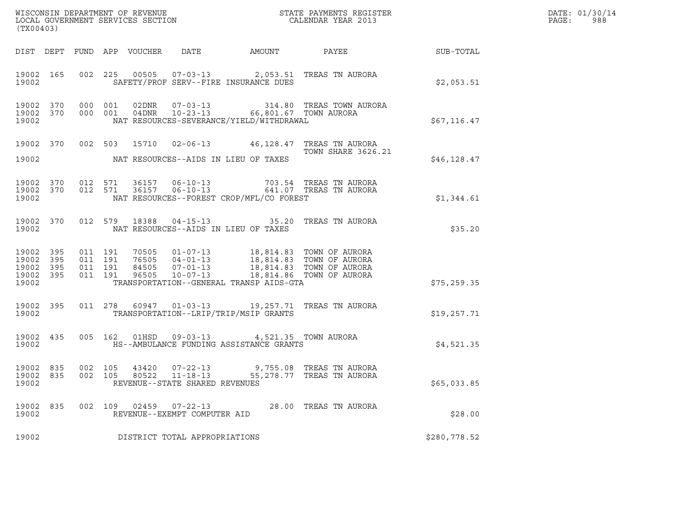| (TX00403)                                             |     |                               |               |                            |                                                        |                                                                                                  | $\tt WISCONSIM DEPARTMENT OF REVENUE$ $\tt WISCONBINS REGISTER$<br>LOCAL GOVERNMENT SERVICES SECTION $\tt CALENDAR YEAR$ 2013                                                                                                             |              | DATE: 01/30/14<br>PAGE:<br>988 |
|-------------------------------------------------------|-----|-------------------------------|---------------|----------------------------|--------------------------------------------------------|--------------------------------------------------------------------------------------------------|-------------------------------------------------------------------------------------------------------------------------------------------------------------------------------------------------------------------------------------------|--------------|--------------------------------|
|                                                       |     |                               |               | DIST DEPT FUND APP VOUCHER |                                                        |                                                                                                  | DATE AMOUNT PAYEE SUB-TOTAL                                                                                                                                                                                                               |              |                                |
| 19002 165<br>19002                                    |     |                               |               |                            |                                                        | SAFETY/PROF SERV--FIRE INSURANCE DUES                                                            | 002 225 00505 07-03-13 2,053.51 TREAS TN AURORA                                                                                                                                                                                           | \$2,053.51   |                                |
| 19002 370 000 001<br>19002 370<br>19002               |     |                               | 000 001       |                            |                                                        | NAT RESOURCES-SEVERANCE/YIELD/WITHDRAWAL                                                         |                                                                                                                                                                                                                                           | \$67,116.47  |                                |
| 19002                                                 |     |                               |               |                            | NAT RESOURCES--AIDS IN LIEU OF TAXES                   |                                                                                                  | 19002 370 002 503 15710 02-06-13 46,128.47 TREAS TN AURORA<br>TOWN SHARE 3626.21                                                                                                                                                          | \$46,128.47  |                                |
| 19002 370<br>19002 370<br>19002                       |     | 012 571                       | 012 571       |                            | 36157      06-10-13<br>36157      06-10-13             | NAT RESOURCES--FOREST CROP/MFL/CO FOREST                                                         | 703.54 TREAS TN AURORA<br>641.07 TREAS TN AURORA                                                                                                                                                                                          | \$1,344.61   |                                |
| 19002 370<br>19002                                    |     |                               | 012 579 18388 |                            | NAT RESOURCES--AIDS IN LIEU OF TAXES                   |                                                                                                  | 04-15-13 35.20 TREAS TN AURORA                                                                                                                                                                                                            | \$35.20      |                                |
| 19002 395<br>19002 395<br>19002<br>19002 395<br>19002 | 395 | 011 191<br>011 191<br>011 191 | 011 191       |                            |                                                        | TRANSPORTATION--GENERAL TRANSP AIDS-GTA                                                          | $\begin{tabular}{cccc} 70505 & 01-07-13 & 18,814.83 & TOWN OF AURORA \\ 76505 & 04-01-13 & 18,814.83 & TOWN OF AURORA \\ 84505 & 07-01-13 & 18,814.83 & TOWN OF AURORA \\ 96505 & 10-07-13 & 18,814.86 & TOWN OF AURORA \\ \end{tabular}$ | \$75, 259.35 |                                |
| 19002 395<br>19002                                    |     |                               |               |                            |                                                        | TRANSPORTATION--LRIP/TRIP/MSIP GRANTS                                                            | 011 278 60947 01-03-13 19,257.71 TREAS TN AURORA                                                                                                                                                                                          | \$19,257.71  |                                |
| 19002                                                 |     |                               |               |                            |                                                        | 19002 435 005 162 01HSD 09-03-13 4,521.35 TOWN AURORA<br>HS--AMBULANCE FUNDING ASSISTANCE GRANTS |                                                                                                                                                                                                                                           | \$4,521.35   |                                |
| 19002 835<br>19002                                    |     | 002 105                       |               |                            | REVENUE--STATE SHARED REVENUES                         |                                                                                                  | 19002 835 002 105 43420 07-22-13 9,755.08 TREAS TN AURORA<br>80522     11-18-13          55,278.77     TREAS                               TN AURORA                                                                                      | \$65,033.85  |                                |
| 19002 835<br>19002                                    |     |                               |               |                            | 002 109 02459 07-22-13<br>REVENUE--EXEMPT COMPUTER AID |                                                                                                  | 28.00 TREAS TN AURORA                                                                                                                                                                                                                     | \$28.00      |                                |
| 19002                                                 |     |                               |               |                            | DISTRICT TOTAL APPROPRIATIONS                          |                                                                                                  |                                                                                                                                                                                                                                           | \$280,778.52 |                                |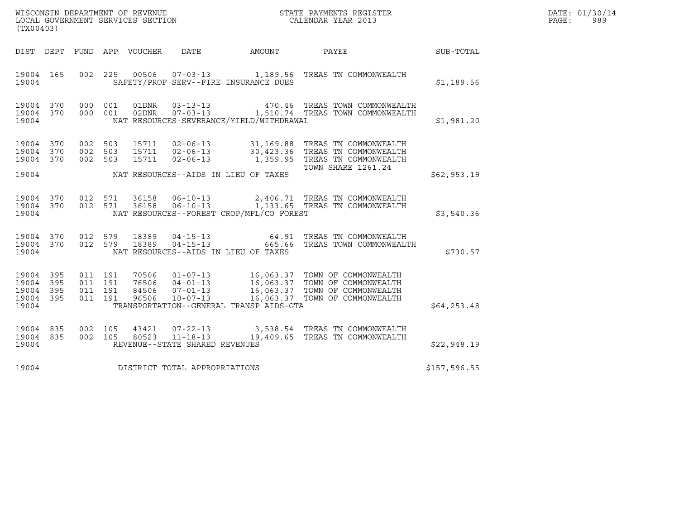| WISCONSIN DEPARTMENT OF REVENUE   | STATE PAYMENTS REGISTER | DATE: 01/30/14 |
|-----------------------------------|-------------------------|----------------|
| LOCAL GOVERNMENT SERVICES SECTION | CALENDAR YEAR 2013      | 989<br>PAGE :  |

| (TX00403)                                             |           |                                          |                                 |                                |                                            | WISCONSIN DEPARTMENT OF REVENUE<br>LOCAL GOVERNMENT SERVICES SECTION<br>CALENDAR YEAR 2013                                                                                                                         |              | DATE: 01/30/14<br>PAGE: 989 |
|-------------------------------------------------------|-----------|------------------------------------------|---------------------------------|--------------------------------|--------------------------------------------|--------------------------------------------------------------------------------------------------------------------------------------------------------------------------------------------------------------------|--------------|-----------------------------|
|                                                       |           |                                          | DIST DEPT FUND APP VOUCHER DATE |                                |                                            | AMOUNT PAYEE                                                                                                                                                                                                       | SUB-TOTAL    |                             |
| 19004                                                 | 19004 165 | 002 225                                  |                                 |                                | SAFETY/PROF SERV--FIRE INSURANCE DUES      | 00506  07-03-13    1,189.56    TREAS TN COMMONWEALTH                                                                                                                                                               | \$1,189.56   |                             |
| 19004                                                 |           |                                          | 19004 370 000 001 01DNR         |                                | NAT RESOURCES-SEVERANCE/YIELD/WITHDRAWAL   | 03-13-13 470.46 TREAS TOWN COMMONWEALTH<br>19004 370 000 001 02DNR 07-03-13 1,510.74 TREAS TOWN COMMONWEALTH                                                                                                       | \$1,981.20   |                             |
|                                                       | 19004 370 | 002 503                                  |                                 |                                |                                            | 19004 370 002 503 15711 02-06-13 31,169.88 TREAS TN COMMONWEALTH<br>19004 370 002 503 15711 02-06-13 30,423.36 TREAS TN COMMONWEALTH<br>15711  02-06-13    1,359.95    TREAS TN COMMONWEALTH<br>TOWN SHARE 1261.24 |              |                             |
|                                                       |           |                                          |                                 |                                | 19004 NAT RESOURCES--AIDS IN LIEU OF TAXES |                                                                                                                                                                                                                    | \$62,953.19  |                             |
| 19004                                                 |           | 19004 370 012 571<br>19004 370 012 571   | 36158                           |                                | NAT RESOURCES--FOREST CROP/MFL/CO FOREST   |                                                                                                                                                                                                                    | \$3,540.36   |                             |
| 19004                                                 |           |                                          |                                 |                                | NAT RESOURCES--AIDS IN LIEU OF TAXES       |                                                                                                                                                                                                                    | \$730.57     |                             |
| 19004 395<br>19004<br>19004 395<br>19004 395<br>19004 | 395       | 011 191<br>011 191<br>011 191<br>011 191 |                                 |                                | TRANSPORTATION--GENERAL TRANSP AIDS-GTA    |                                                                                                                                                                                                                    | \$64, 253.48 |                             |
| 19004 835<br>19004                                    |           | 19004 835 002 105                        |                                 | REVENUE--STATE SHARED REVENUES |                                            | 002 105 43421 07-22-13 3,538.54 TREAS TN COMMONWEALTH<br>002 105 80523 11-18-13 19,409.65 TREAS TN COMMONWEALTH                                                                                                    | \$22,948.19  |                             |
| 19004                                                 |           |                                          |                                 | DISTRICT TOTAL APPROPRIATIONS  |                                            |                                                                                                                                                                                                                    | \$157,596.55 |                             |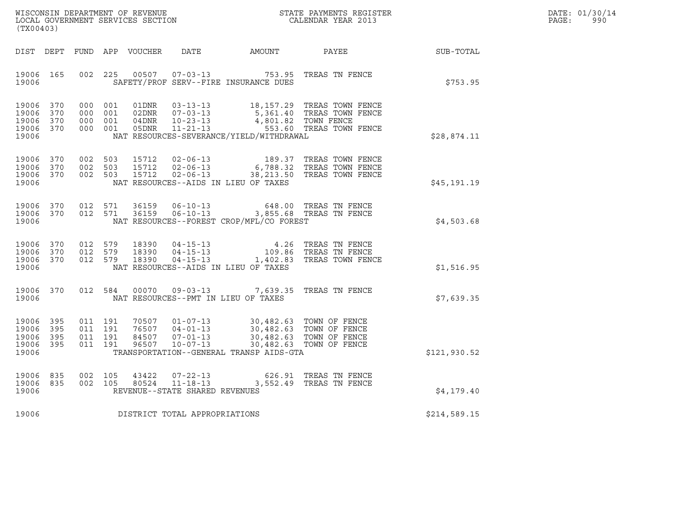| WISCONSIN DEPARTMENT OF REVENUE   | STATE PAYMENTS REGISTER | DATE: 01/30/14 |
|-----------------------------------|-------------------------|----------------|
| LOCAL GOVERNMENT SERVICES SECTION | CALENDAR YEAR 2013      | PAGE:<br>990   |

| (TX00403)                                                            |                                          |                                  |                                                    |                                                                                                                                                              | WISCONSIN DEPARTMENT OF REVENUE<br>LOCAL GOVERNMENT SERVICES SECTION<br>(TWO 0.000) CALENDAR YEAR 2013        |              | DATE: 01/30/14<br>PAGE:<br>990 |
|----------------------------------------------------------------------|------------------------------------------|----------------------------------|----------------------------------------------------|--------------------------------------------------------------------------------------------------------------------------------------------------------------|---------------------------------------------------------------------------------------------------------------|--------------|--------------------------------|
| DIST DEPT                                                            |                                          | FUND APP VOUCHER                 |                                                    | DATE AMOUNT                                                                                                                                                  | PAYEE                                                                                                         | SUB-TOTAL    |                                |
| 19006 165<br>19006                                                   | 002 225                                  | 00507                            |                                                    | SAFETY/PROF SERV--FIRE INSURANCE DUES                                                                                                                        | 07-03-13 753.95 TREAS TN FENCE                                                                                | \$753.95     |                                |
| 19006 370<br>19006<br>370<br>19006<br>370<br>19006 370<br>19006      | 000 001<br>000 001<br>000 001<br>000 001 | $04$ DNR                         | $10 - 23 - 13$<br>05DNR 11-21-13                   | NAT RESOURCES-SEVERANCE/YIELD/WITHDRAWAL                                                                                                                     | 4,801.82 TOWN FENCE<br>4,801.82 1000, 1200.<br>553.60 TREAS TOWN FENCE                                        | \$28,874.11  |                                |
| 19006<br>370<br>19006<br>370<br>19006 370<br>19006                   | 002 503<br>002 503                       | 15712<br>15712<br>002 503 15712  |                                                    | NAT RESOURCES--AIDS IN LIEU OF TAXES                                                                                                                         | 02-06-13 189.37 TREAS TOWN FENCE<br>02-06-13 6,788.32 TREAS TOWN FENCE<br>02-06-13 38,213.50 TREAS TOWN FENCE | \$45,191.19  |                                |
| 19006<br>370<br>19006 370<br>19006                                   | 012 571<br>012 571                       | 36159<br>36159                   |                                                    | NAT RESOURCES--FOREST CROP/MFL/CO FOREST                                                                                                                     | 06-10-13 648.00 TREAS TN FENCE<br>06-10-13 3,855.68 TREAS TN FENCE                                            | \$4,503.68   |                                |
| 19006 370<br>19006 370<br>19006 370<br>19006                         | 012 579<br>012 579<br>012 579            | 18390<br>18390<br>18390          |                                                    | NAT RESOURCES--AIDS IN LIEU OF TAXES                                                                                                                         | 04-15-13 4.26 TREAS TN FENCE<br>04-15-13 109.86 TREAS TN FENCE<br>04-15-13 1,402.83 TREAS TOWN FENCE          | \$1,516.95   |                                |
| 19006 370<br>19006                                                   | 012 584                                  | 00070                            | $09 - 03 - 13$                                     | NAT RESOURCES--PMT IN LIEU OF TAXES                                                                                                                          | 7,639.35 TREAS TN FENCE                                                                                       | \$7,639.35   |                                |
| 19006 395<br>19006<br>395<br>19006<br>395<br>19006<br>- 395<br>19006 | 011 191<br>011 191<br>011 191<br>011 191 | 70507<br>76507<br>84507<br>96507 | $04 - 01 - 13$<br>$07 - 01 - 13$<br>$10 - 07 - 13$ | 01-07-13 30,482.63 TOWN OF FENCE<br>30,482.63 TOWN OF FENCE<br>30,482.63 TOWN OF FENCE<br>30,482.63 TOWN OF FENCE<br>TRANSPORTATION--GENERAL TRANSP AIDS-GTA | 30,482.63 TOWN OF FENCE                                                                                       | \$121,930.52 |                                |
| 19006<br>835<br>19006<br>835<br>19006                                | 002 105<br>002 105                       | 43422<br>80524                   | REVENUE--STATE SHARED REVENUES                     |                                                                                                                                                              | 07-22-13 626.91 TREAS TN FENCE<br>11-18-13 3,552.49 TREAS TN FENCE                                            | \$4,179.40   |                                |
| 19006                                                                |                                          |                                  | DISTRICT TOTAL APPROPRIATIONS                      |                                                                                                                                                              |                                                                                                               | \$214,589.15 |                                |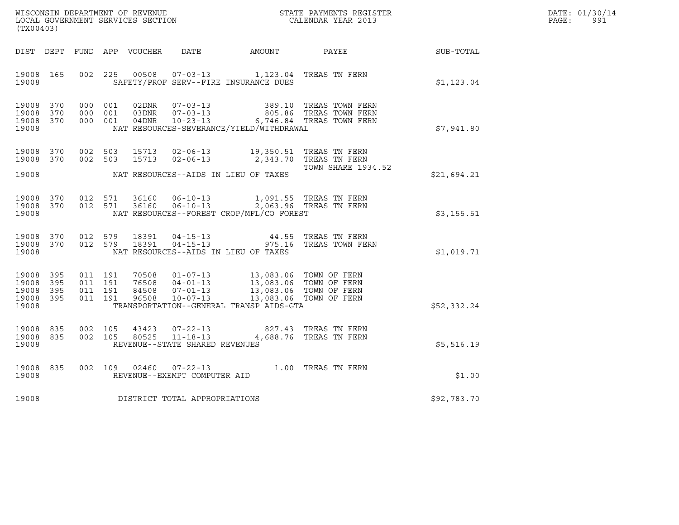|       | DATE: 01/30/14 |
|-------|----------------|
| PAGE: | 991            |

| WISCONSIN DEPARTMENT OF REVENUE<br>LOCAL GOVERNMENT SERVICES SECTION<br>CALENDAR YEAR 2013<br>(TX00403) |     |  |                                          |                        |                                | DATE: 01/30/14<br>PAGE:<br>991                                                                                                                                                                                                                     |                                                                                                                                             |             |  |
|---------------------------------------------------------------------------------------------------------|-----|--|------------------------------------------|------------------------|--------------------------------|----------------------------------------------------------------------------------------------------------------------------------------------------------------------------------------------------------------------------------------------------|---------------------------------------------------------------------------------------------------------------------------------------------|-------------|--|
|                                                                                                         |     |  |                                          |                        |                                |                                                                                                                                                                                                                                                    | DIST DEPT FUND APP VOUCHER DATE AMOUNT PAYEE TO SUB-TOTAL                                                                                   |             |  |
| 19008 165<br>19008                                                                                      |     |  | 002 225                                  |                        |                                | 00508  07-03-13  1,123.04 TREAS TN FERN<br>SAFETY/PROF SERV--FIRE INSURANCE DUES                                                                                                                                                                   |                                                                                                                                             | \$1,123.04  |  |
| 19008 370<br>19008 370<br>19008 370<br>19008                                                            |     |  |                                          |                        |                                | NAT RESOURCES-SEVERANCE/YIELD/WITHDRAWAL                                                                                                                                                                                                           | 000 001 02DNR 07-03-13 389.10 TREAS TOWN FERN 000 001 03DNR 07-03-13 805.86 TREAS TOWN FERN 000 001 04DNR 10-23-13 6,746.84 TREAS TOWN FERN | \$7,941.80  |  |
| 19008 370<br>19008 370<br>19008                                                                         |     |  |                                          |                        |                                | 002 503 15713 02-06-13 19,350.51 TREAS TN FERN<br>002 503 15713 02-06-13 2,343.70 TREAS TN FERN<br>NAT RESOURCES--AIDS IN LIEU OF TAXES                                                                                                            | <b>TOWN SHARE 1934.52</b>                                                                                                                   | \$21,694.21 |  |
| 19008                                                                                                   |     |  |                                          |                        |                                | $\begin{array}{cccccccc} 19008 & 370 & 012 & 571 & 36160 & 06-10-13 & & 1,091.55 & \text{TREAS TN FERN} \\ 19008 & 370 & 012 & 571 & 36160 & 06-10-13 & & 2,063.96 & \text{TREAS TN FERN} \end{array}$<br>NAT RESOURCES--FOREST CROP/MFL/CO FOREST |                                                                                                                                             | \$3,155.51  |  |
| 19008 370<br>19008 370<br>19008                                                                         |     |  | 012 579                                  | 012 579 18391<br>18391 |                                | NAT RESOURCES--AIDS IN LIEU OF TAXES                                                                                                                                                                                                               | 04-15-13 44.55 TREAS TN FERN<br>04-15-13 975.16 TREAS TOWN FERN                                                                             | \$1,019.71  |  |
| 19008 395<br>19008<br>19008 395<br>19008 395<br>19008                                                   | 395 |  | 011 191<br>011 191<br>011 191<br>011 191 |                        |                                | 70508  01-07-13  13,083.06  TOWN OF FERN<br>76508  04-01-13  13,083.06  TOWN OF FERN<br>84508  07-01-13  13,083.06  TOWN OF FERN<br>96508  10-07-13  13,083.06  TOWN OF FERN<br>TRANSPORTATION--GENERAL TRANSP AIDS-GTA                            |                                                                                                                                             | \$52,332.24 |  |
| 19008 835<br>19008 835<br>19008                                                                         |     |  | 002 105<br>002 105                       |                        | REVENUE--STATE SHARED REVENUES | $\begin{array}{cccc} 43423 & 07\hbox{-}22\hbox{-}13 & 827.43 & \text{TREAS TN FERN}\\ 80525 & 11\hbox{-}18\hbox{-}13 & 4,688.76 & \text{TREAS TN FERN} \end{array}$                                                                                |                                                                                                                                             | \$5,516.19  |  |
| 19008<br>19008                                                                                          | 835 |  | 002 109                                  |                        | REVENUE--EXEMPT COMPUTER AID   | 02460  07-22-13  1.00 TREAS TN FERN                                                                                                                                                                                                                |                                                                                                                                             | \$1.00      |  |
| 19008                                                                                                   |     |  |                                          |                        | DISTRICT TOTAL APPROPRIATIONS  |                                                                                                                                                                                                                                                    |                                                                                                                                             | \$92,783.70 |  |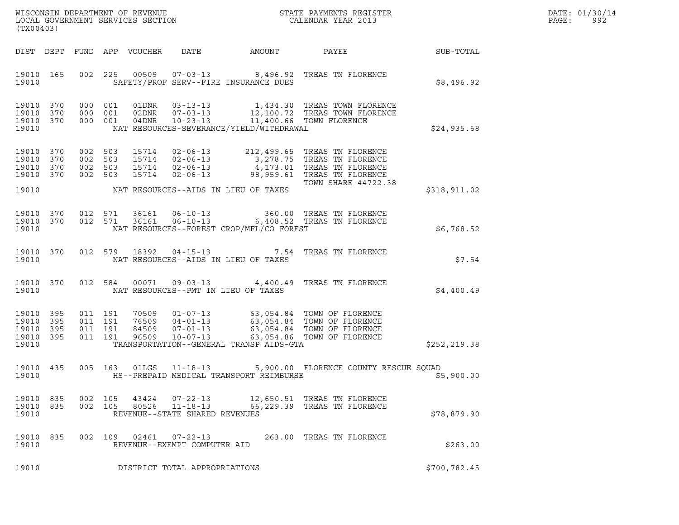| DATE: | 01/30/14 |
|-------|----------|
| PAGE: | 992      |

| WISCONSIN DEPARTMENT OF REVENUE<br>LOCAL GOVERNMENT SERVICES SECTION<br>(TX00403) |                   |                |                                          |                                  |                                                                      |                                          | STATE PAYMENTS REGISTER<br>CALENDAR YEAR 2013                                                                                                         |               | DATE: 01/30/14<br>PAGE:<br>992 |
|-----------------------------------------------------------------------------------|-------------------|----------------|------------------------------------------|----------------------------------|----------------------------------------------------------------------|------------------------------------------|-------------------------------------------------------------------------------------------------------------------------------------------------------|---------------|--------------------------------|
|                                                                                   |                   |                |                                          | DIST DEPT FUND APP VOUCHER       | DATE                                                                 | AMOUNT                                   | PAYEE                                                                                                                                                 | SUB-TOTAL     |                                |
| 19010 165<br>19010                                                                |                   |                |                                          |                                  |                                                                      | SAFETY/PROF SERV--FIRE INSURANCE DUES    | 002 225 00509 07-03-13 8,496.92 TREAS TN FLORENCE                                                                                                     | \$8,496.92    |                                |
| 19010 370<br>19010<br>19010 370<br>19010                                          | 370               | 000 001<br>000 | 001<br>000 001                           | 01DNR<br>02DNR<br>04DNR          | $03 - 13 - 13$<br>$07 - 03 - 13$<br>$10 - 23 - 13$                   | NAT RESOURCES-SEVERANCE/YIELD/WITHDRAWAL | 1,434.30 TREAS TOWN FLORENCE<br>12,100.72 TREAS TOWN FLORENCE<br>11,400.66 TOWN FLORENCE                                                              | \$24,935.68   |                                |
| 19010 370<br>19010<br>19010<br>19010 370                                          | 370<br>370        | 002<br>002 503 | 002 503<br>503<br>002 503                | 15714<br>15714                   | 15714 02-06-13<br>$02 - 06 - 13$<br>15714 02-06-13<br>$02 - 06 - 13$ |                                          | 212,499.65 TREAS TN FLORENCE<br>3,278.75 TREAS TN FLORENCE<br>4,173.01 TREAS TN FLORENCE<br>98,959.61 TREAS TN FLORENCE<br><b>TOWN SHARE 44722.38</b> |               |                                |
| 19010                                                                             |                   |                |                                          |                                  |                                                                      | NAT RESOURCES--AIDS IN LIEU OF TAXES     |                                                                                                                                                       | \$318,911.02  |                                |
| 19010 370<br>19010 370<br>19010                                                   |                   |                | 012 571<br>012 571                       | 36161<br>36161                   | $06 - 10 - 13$<br>$06 - 10 - 13$                                     | NAT RESOURCES--FOREST CROP/MFL/CO FOREST | 360.00 TREAS TN FLORENCE<br>6,408.52 TREAS TN FLORENCE                                                                                                | \$6,768.52    |                                |
| 19010 370<br>19010                                                                |                   |                | 012 579                                  | 18392                            | 04-15-13                                                             | NAT RESOURCES--AIDS IN LIEU OF TAXES     | 7.54 TREAS TN FLORENCE                                                                                                                                | \$7.54        |                                |
| 19010 370<br>19010                                                                |                   |                | 012 584                                  |                                  | 00071 09-03-13                                                       | NAT RESOURCES--PMT IN LIEU OF TAXES      | 4,400.49 TREAS TN FLORENCE                                                                                                                            | \$4,400.49    |                                |
| 19010 395<br>19010<br>19010<br>19010<br>19010                                     | 395<br>395<br>395 |                | 011 191<br>011 191<br>011 191<br>011 191 | 70509<br>76509<br>84509<br>96509 | $01 - 07 - 13$<br>$04 - 01 - 13$<br>$07 - 01 - 13$<br>$10 - 07 - 13$ | TRANSPORTATION--GENERAL TRANSP AIDS-GTA  | 63,054.84 TOWN OF FLORENCE<br>63,054.84 TOWN OF FLORENCE<br>63,054.84 TOWN OF FLORENCE<br>63,054.86 TOWN OF FLORENCE                                  | \$252,219.38  |                                |
| 19010 435<br>19010                                                                |                   |                | 005 163                                  | 01LGS                            | 11-18-13                                                             | HS--PREPAID MEDICAL TRANSPORT REIMBURSE  | 5,900.00 FLORENCE COUNTY RESCUE SQUAD                                                                                                                 | \$5,900.00    |                                |
| 19010 835 002 105<br>19010 835<br>19010                                           |                   | 002 105        |                                          |                                  | REVENUE--STATE SHARED REVENUES                                       |                                          | 80526  11-18-13  66,229.39  TREAS TN FLORENCE                                                                                                         | \$78,879.90   |                                |
| 19010 835<br>19010                                                                |                   |                |                                          |                                  | 002 109 02461 07-22-13<br>REVENUE--EXEMPT COMPUTER AID               |                                          | 263.00 TREAS TN FLORENCE                                                                                                                              | \$263.00      |                                |
| 19010                                                                             |                   |                |                                          |                                  | DISTRICT TOTAL APPROPRIATIONS                                        |                                          |                                                                                                                                                       | \$700, 782.45 |                                |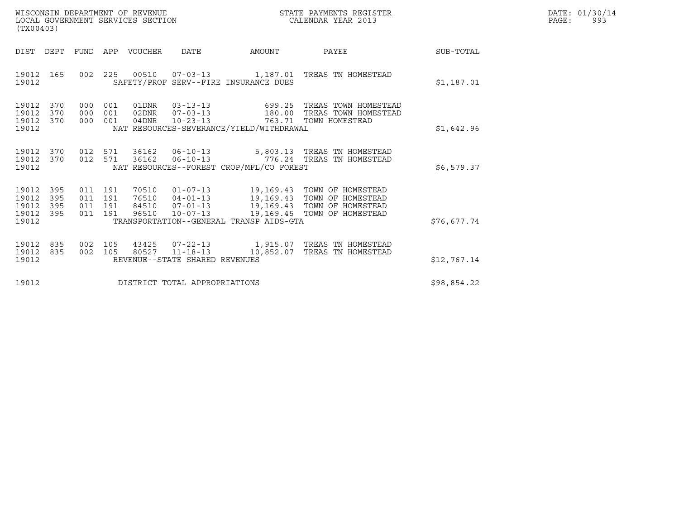| WISCONSIN DEPARTMENT OF REVENUE   | STATE PAYMENTS REGISTER | DATE: 01/30/14 |
|-----------------------------------|-------------------------|----------------|
| LOCAL GOVERNMENT SERVICES SECTION | CALENDAR YEAR 2013      | PAGE:<br>ags   |

| STATE PAYMENTS REGISTER<br>CALENDAR YEAR 2013<br>WISCONSIN DEPARTMENT OF REVENUE<br>LOCAL GOVERNMENT SERVICES SECTION<br>(TX00403) |                                                       |                                                                                                                                                                                                                                                                 |       |             | DATE: 01/30/14<br>PAGE:<br>993 |
|------------------------------------------------------------------------------------------------------------------------------------|-------------------------------------------------------|-----------------------------------------------------------------------------------------------------------------------------------------------------------------------------------------------------------------------------------------------------------------|-------|-------------|--------------------------------|
| DIST DEPT                                                                                                                          | FUND APP VOUCHER                                      | DATE<br>AMOUNT                                                                                                                                                                                                                                                  | PAYEE | SUB-TOTAL   |                                |
| 19012 165<br>19012                                                                                                                 |                                                       | 002  225  00510  07-03-13  1,187.01  TREAS TN HOMESTEAD<br>SAFETY/PROF SERV--FIRE INSURANCE DUES                                                                                                                                                                |       | \$1,187.01  |                                |
| 19012<br>370<br>19012<br>370<br>19012 370<br>19012                                                                                 | 000 001<br>01DNR<br>02DNR<br>000 001<br>000 001 04DNR | 03-13-13<br>07-03-13 699.25 TREAS TOWN HOMESTEAD<br>07-03-13 180.00 TREAS TOWN HOMESTEAD<br>10-23-13 763.71 TOWN HOMESTEAD<br>NAT RESOURCES-SEVERANCE/YIELD/WITHDRAWAL                                                                                          |       | \$1,642.96  |                                |
| 19012<br>370<br>19012<br>370<br>19012                                                                                              |                                                       | 012 571 36162 06-10-13 5,803.13 TREAS TN HOMESTEAD<br>012 571 36162 06-10-13 776.24 TREAS TN HOMESTEAD<br>NAT RESOURCES--FOREST CROP/MFL/CO FOREST                                                                                                              |       | \$6,579.37  |                                |
| 395<br>19012<br>19012<br>395<br>19012<br>395<br>19012<br>395<br>19012                                                              |                                                       | 011 191 70510 01-07-13 19,169.43 TOWN OF HOMESTEAD<br>011 191 76510 04-01-13 19,169.43 TOWN OF HOMESTEAD<br>011 191 84510 07-01-13 19,169.43 TOWN OF HOMESTEAD<br>011 191 96510 10-07-13 19,169.45 TOWN OF HOMESTEAD<br>TRANSPORTATION--GENERAL TRANSP AIDS-GTA |       | \$76,677.74 |                                |
| 19012<br>835<br>19012<br>835<br>19012                                                                                              | REVENUE--STATE SHARED REVENUES                        | 002  105  43425  07-22-13  1,915.07  TREAS TN HOMESTEAD<br>002 105 80527 11-18-13 10,852.07 TREAS TN HOMESTEAD                                                                                                                                                  |       | \$12,767.14 |                                |
| 19012                                                                                                                              | DISTRICT TOTAL APPROPRIATIONS                         |                                                                                                                                                                                                                                                                 |       | \$98,854.22 |                                |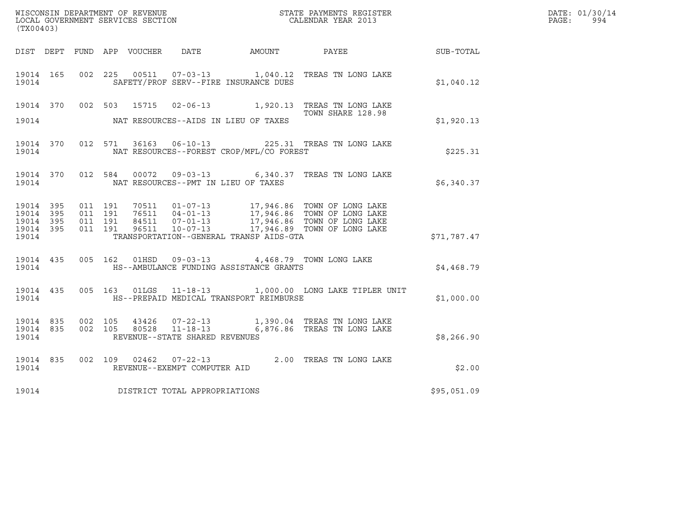| (TX00403)                            |                         |                    |                    |                                |                                              |                                                                                                                                                                                                   |             | DATE: 01/30/14<br>PAGE: 994 |
|--------------------------------------|-------------------------|--------------------|--------------------|--------------------------------|----------------------------------------------|---------------------------------------------------------------------------------------------------------------------------------------------------------------------------------------------------|-------------|-----------------------------|
|                                      |                         |                    |                    |                                | DIST DEPT FUND APP VOUCHER DATE AMOUNT PAYEE |                                                                                                                                                                                                   | SUB-TOTAL   |                             |
| 19014                                |                         |                    |                    |                                | SAFETY/PROF SERV--FIRE INSURANCE DUES        | 19014 165 002 225 00511 07-03-13 1,040.12 TREAS TN LONG LAKE                                                                                                                                      | \$1,040.12  |                             |
|                                      |                         |                    |                    |                                |                                              | 19014 370 002 503 15715 02-06-13 1,920.13 TREAS TN LONG LAKE<br>TOWN SHARE 128.98                                                                                                                 |             |                             |
| 19014                                |                         |                    |                    |                                | NAT RESOURCES--AIDS IN LIEU OF TAXES         |                                                                                                                                                                                                   | \$1,920.13  |                             |
| 19014                                |                         |                    |                    |                                | NAT RESOURCES--FOREST CROP/MFL/CO FOREST     | 19014 370 012 571 36163 06-10-13 225.31 TREAS TN LONG LAKE                                                                                                                                        | \$225.31    |                             |
| 19014                                |                         |                    |                    |                                | NAT RESOURCES--PMT IN LIEU OF TAXES          | 19014 370 012 584 00072 09-03-13 6,340.37 TREAS TN LONG LAKE                                                                                                                                      | \$6,340.37  |                             |
| 19014 395<br>19014<br>19014<br>19014 | 395<br>395<br>19014 395 | 011 191<br>011 191 | 011 191<br>011 191 |                                | TRANSPORTATION--GENERAL TRANSP AIDS-GTA      | 70511  01-07-13  17,946.86  TOWN OF LONG LAKE<br>76511  04-01-13  17,946.86  TOWN OF LONG LAKE<br>84511  07-01-13  17,946.86  TOWN OF LONG LAKE<br>96511  10-07-113  17,946.89  TOWN OF LONG LAKE | \$71,787.47 |                             |
| 19014                                | 19014 435               |                    |                    |                                | HS--AMBULANCE FUNDING ASSISTANCE GRANTS      | 005 162 01HSD 09-03-13 4,468.79 TOWN LONG LAKE                                                                                                                                                    | \$4,468.79  |                             |
| 19014                                |                         |                    |                    |                                | HS--PREPAID MEDICAL TRANSPORT REIMBURSE      | 19014 435 005 163 01LGS 11-18-13 1,000.00 LONG LAKE TIPLER UNIT                                                                                                                                   | \$1,000.00  |                             |
| 19014 835<br>19014 835<br>19014      |                         |                    |                    | REVENUE--STATE SHARED REVENUES |                                              | 002 105 43426 07-22-13 1,390.04 TREAS TN LONG LAKE<br>002  105  80528  11-18-13  6,876.86  TREAS TN LONG LAKE                                                                                     | \$8,266.90  |                             |
| 19014                                |                         |                    |                    | REVENUE--EXEMPT COMPUTER AID   |                                              | 19014 835 002 109 02462 07-22-13 2.00 TREAS TN LONG LAKE                                                                                                                                          | \$2.00      |                             |
| 19014                                |                         |                    |                    | DISTRICT TOTAL APPROPRIATIONS  |                                              |                                                                                                                                                                                                   | \$95,051.09 |                             |